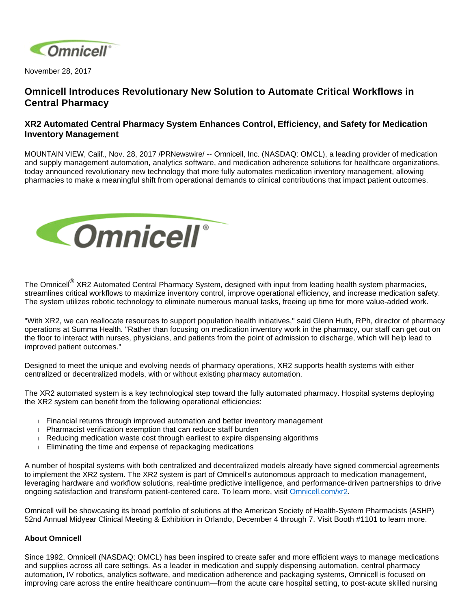

November 28, 2017

## **Omnicell Introduces Revolutionary New Solution to Automate Critical Workflows in Central Pharmacy**

## **XR2 Automated Central Pharmacy System Enhances Control, Efficiency, and Safety for Medication Inventory Management**

MOUNTAIN VIEW, Calif., Nov. 28, 2017 /PRNewswire/ -- Omnicell, Inc. (NASDAQ: OMCL), a leading provider of medication and supply management automation, analytics software, and medication adherence solutions for healthcare organizations, today announced revolutionary new technology that more fully automates medication inventory management, allowing pharmacies to make a meaningful shift from operational demands to clinical contributions that impact patient outcomes.



The Omnicell<sup>®</sup> XR2 Automated Central Pharmacy System, designed with input from leading health system pharmacies, streamlines critical workflows to maximize inventory control, improve operational efficiency, and increase medication safety. The system utilizes robotic technology to eliminate numerous manual tasks, freeing up time for more value-added work.

"With XR2, we can reallocate resources to support population health initiatives," said Glenn Huth, RPh, director of pharmacy operations at Summa Health. "Rather than focusing on medication inventory work in the pharmacy, our staff can get out on the floor to interact with nurses, physicians, and patients from the point of admission to discharge, which will help lead to improved patient outcomes."

Designed to meet the unique and evolving needs of pharmacy operations, XR2 supports health systems with either centralized or decentralized models, with or without existing pharmacy automation.

The XR2 automated system is a key technological step toward the fully automated pharmacy. Hospital systems deploying the XR2 system can benefit from the following operational efficiencies:

- Financial returns through improved automation and better inventory management
- **Pharmacist verification exemption that can reduce staff burden**
- Reducing medication waste cost through earliest to expire dispensing algorithms
- **Eliminating the time and expense of repackaging medications**

A number of hospital systems with both centralized and decentralized models already have signed commercial agreements to implement the XR2 system. The XR2 system is part of Omnicell's autonomous approach to medication management, leveraging hardware and workflow solutions, real-time predictive intelligence, and performance-driven partnerships to drive ongoing satisfaction and transform patient-centered care. To learn more, visit [Omnicell.com/xr2](https://www.omnicell.com/Products/Pharmacy_Automation/Robotic_Pharmacy_Systems/XR2_Automated_Central_Pharmacy_System.aspx).

Omnicell will be showcasing its broad portfolio of solutions at the American Society of Health-System Pharmacists (ASHP) 52nd Annual Midyear Clinical Meeting & Exhibition in Orlando, December 4 through 7. Visit Booth #1101 to learn more.

## **About Omnicell**

Since 1992, Omnicell (NASDAQ: OMCL) has been inspired to create safer and more efficient ways to manage medications and supplies across all care settings. As a leader in medication and supply dispensing automation, central pharmacy automation, IV robotics, analytics software, and medication adherence and packaging systems, Omnicell is focused on improving care across the entire healthcare continuum—from the acute care hospital setting, to post-acute skilled nursing